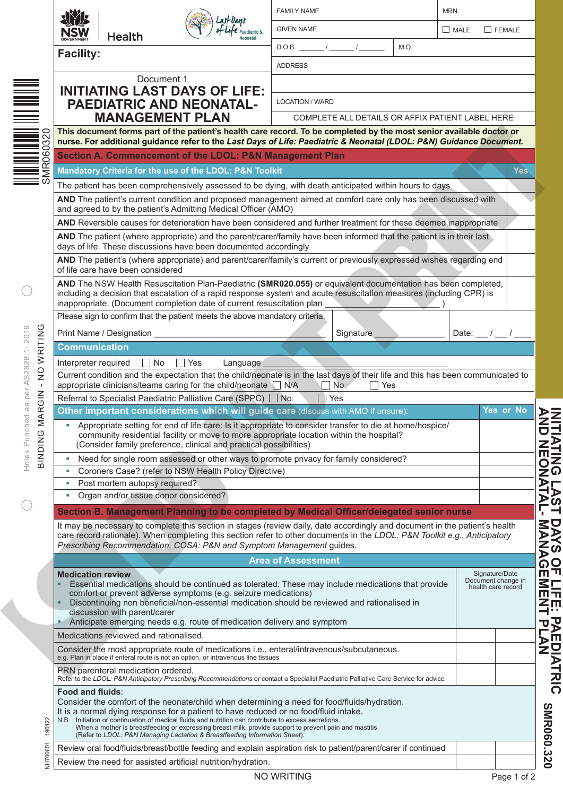|                                               |                                                                                                                                                                                                                                                                                                                                                                | Paediatric &<br>Neonatal                                                                                                                                                                                    | <b>FAMILY NAME</b>        |                   |                                                  | <b>MRN</b>            |  |            |  |  |
|-----------------------------------------------|----------------------------------------------------------------------------------------------------------------------------------------------------------------------------------------------------------------------------------------------------------------------------------------------------------------------------------------------------------------|-------------------------------------------------------------------------------------------------------------------------------------------------------------------------------------------------------------|---------------------------|-------------------|--------------------------------------------------|-----------------------|--|------------|--|--|
|                                               | NSW<br><b>Health</b>                                                                                                                                                                                                                                                                                                                                           |                                                                                                                                                                                                             | <b>GIVEN NAME</b>         |                   |                                                  | $\Box$ FEMALE<br>MALE |  |            |  |  |
|                                               | <b>Facility:</b>                                                                                                                                                                                                                                                                                                                                               | $D.O.B.$ / /<br>M.O.                                                                                                                                                                                        |                           |                   |                                                  |                       |  |            |  |  |
|                                               |                                                                                                                                                                                                                                                                                                                                                                |                                                                                                                                                                                                             | <b>ADDRESS</b>            |                   |                                                  |                       |  |            |  |  |
|                                               | Document 1                                                                                                                                                                                                                                                                                                                                                     |                                                                                                                                                                                                             |                           |                   |                                                  |                       |  |            |  |  |
|                                               | <b>INITIATING LAST DAYS OF LIFE:</b>                                                                                                                                                                                                                                                                                                                           |                                                                                                                                                                                                             |                           |                   |                                                  |                       |  |            |  |  |
|                                               | <b>PAEDIATRIC AND NEONATAL-</b>                                                                                                                                                                                                                                                                                                                                | <b>LOCATION / WARD</b>                                                                                                                                                                                      |                           |                   |                                                  |                       |  |            |  |  |
|                                               | <b>MANAGEMENT PLAN</b>                                                                                                                                                                                                                                                                                                                                         |                                                                                                                                                                                                             |                           |                   | COMPLETE ALL DETAILS OR AFFIX PATIENT LABEL HERE |                       |  |            |  |  |
| 0320                                          | This document forms part of the patient's health care record. To be completed by the most senior available doctor or<br>nurse. For additional guidance refer to the Last Days of Life: Paediatric & Neonatal (LDOL: P&N) Guidance Document.                                                                                                                    |                                                                                                                                                                                                             |                           |                   |                                                  |                       |  |            |  |  |
|                                               |                                                                                                                                                                                                                                                                                                                                                                | Section A. Commencement of the LDOL: P&N Management Plan                                                                                                                                                    |                           |                   |                                                  |                       |  |            |  |  |
| SMR <sub>06</sub>                             | Mandatory Criteria for the use of the LDOL: P&N Toolkit                                                                                                                                                                                                                                                                                                        |                                                                                                                                                                                                             |                           |                   |                                                  |                       |  | <b>Yes</b> |  |  |
|                                               |                                                                                                                                                                                                                                                                                                                                                                |                                                                                                                                                                                                             |                           |                   |                                                  |                       |  |            |  |  |
|                                               | The patient has been comprehensively assessed to be dying, with death anticipated within hours to days<br>AND The patient's current condition and proposed management aimed at comfort care only has been discussed with                                                                                                                                       |                                                                                                                                                                                                             |                           |                   |                                                  |                       |  |            |  |  |
|                                               | and agreed to by the patient's Admitting Medical Officer (AMO)                                                                                                                                                                                                                                                                                                 |                                                                                                                                                                                                             |                           |                   |                                                  |                       |  |            |  |  |
|                                               | AND Reversible causes for deterioration have been considered and further treatment for these deemed inappropriate                                                                                                                                                                                                                                              |                                                                                                                                                                                                             |                           |                   |                                                  |                       |  |            |  |  |
|                                               | AND The patient (where appropriate) and the parent/carer/family have been informed that the patient is in their last<br>days of life. These discussions have been documented accordingly                                                                                                                                                                       |                                                                                                                                                                                                             |                           |                   |                                                  |                       |  |            |  |  |
|                                               | AND The patient's (where appropriate) and parent/carer/family's current or previously expressed wishes regarding end<br>of life care have been considered                                                                                                                                                                                                      |                                                                                                                                                                                                             |                           |                   |                                                  |                       |  |            |  |  |
|                                               | AND The NSW Health Resuscitation Plan-Paediatric (SMR020.055) or equivalent documentation has been completed,                                                                                                                                                                                                                                                  |                                                                                                                                                                                                             |                           |                   |                                                  |                       |  |            |  |  |
|                                               | including a decision that escalation of a rapid response system and acute resuscitation measures (including CPR) is<br>inappropriate. (Document completion date of current resuscitation plan                                                                                                                                                                  |                                                                                                                                                                                                             |                           |                   |                                                  |                       |  |            |  |  |
|                                               | Please sign to confirm that the patient meets the above mandatory criteria.                                                                                                                                                                                                                                                                                    |                                                                                                                                                                                                             |                           |                   |                                                  |                       |  |            |  |  |
| O                                             | Print Name / Designation                                                                                                                                                                                                                                                                                                                                       |                                                                                                                                                                                                             |                           | Signature         |                                                  | Date:                 |  |            |  |  |
| Holes Punched as per AS2828.1: 2019<br>WRITIN | <b>Communication</b>                                                                                                                                                                                                                                                                                                                                           |                                                                                                                                                                                                             |                           |                   |                                                  |                       |  |            |  |  |
|                                               | $\square$ No<br>Interpreter required                                                                                                                                                                                                                                                                                                                           | Yes<br>Language                                                                                                                                                                                             |                           |                   |                                                  |                       |  |            |  |  |
| $\frac{0}{2}$                                 | Current condition and the expectation that the child/neonate is in the last days of their life and this has been communicated to                                                                                                                                                                                                                               |                                                                                                                                                                                                             |                           |                   |                                                  |                       |  |            |  |  |
| $\mathbf{I}$                                  | appropriate clinicians/teams caring for the child/neonate N/A                                                                                                                                                                                                                                                                                                  |                                                                                                                                                                                                             | $\perp$                   | No.<br>$\Box$ Yes |                                                  |                       |  |            |  |  |
|                                               | Referral to Specialist Paediatric Palliative Care (SPPC) □ No<br>$\Box$ Yes<br>Other important considerations which will guide care (discuss with AMO if unsure):<br>Yes or No                                                                                                                                                                                 |                                                                                                                                                                                                             |                           |                   |                                                  |                       |  |            |  |  |
| MARGIN<br>৩                                   | - Appropriate setting for end of life care: Is it appropriate to consider transfer to die at home/hospice/<br>community residential facility or move to more appropriate location within the hospital?                                                                                                                                                         |                                                                                                                                                                                                             |                           |                   |                                                  |                       |  |            |  |  |
| <b>NICNIB</b>                                 | (Consider family preference, clinical and practical possibilities)<br>Need for single room assessed or other ways to promote privacy for family considered?<br>×                                                                                                                                                                                               |                                                                                                                                                                                                             |                           |                   |                                                  |                       |  |            |  |  |
|                                               | Coroners Case? (refer to NSW Health Policy Directive)<br>×                                                                                                                                                                                                                                                                                                     |                                                                                                                                                                                                             |                           |                   |                                                  |                       |  |            |  |  |
|                                               | Post mortem autopsy required?                                                                                                                                                                                                                                                                                                                                  |                                                                                                                                                                                                             |                           |                   |                                                  |                       |  |            |  |  |
|                                               | Organ and/or tissue donor considered?                                                                                                                                                                                                                                                                                                                          |                                                                                                                                                                                                             |                           |                   |                                                  |                       |  |            |  |  |
|                                               | Section B. Management Planning to be completed by Medical Officer/delegated senior nurse                                                                                                                                                                                                                                                                       |                                                                                                                                                                                                             |                           |                   |                                                  |                       |  |            |  |  |
|                                               | It may be necessary to complete this section in stages (review daily, date accordingly and document in the patient's health<br>care record rationale). When completing this section refer to other documents in the LDOL: P&N Toolkit e.g., Anticipatory<br>Prescribing Recommendation, COSA: P&N and Symptom Management guides.                               |                                                                                                                                                                                                             |                           |                   |                                                  |                       |  |            |  |  |
|                                               |                                                                                                                                                                                                                                                                                                                                                                |                                                                                                                                                                                                             | <b>Area of Assessment</b> |                   |                                                  |                       |  |            |  |  |
|                                               | <b>Medication review</b><br>Signature/Date<br>Document change in<br>Essential medications should be continued as tolerated. These may include medications that provide<br>health care record<br>comfort or prevent adverse symptoms (e.g. seizure medications)<br>Discontinuing non beneficial/non-essential medication should be reviewed and rationalised in |                                                                                                                                                                                                             |                           |                   |                                                  |                       |  |            |  |  |
|                                               |                                                                                                                                                                                                                                                                                                                                                                |                                                                                                                                                                                                             |                           |                   |                                                  |                       |  |            |  |  |
|                                               | discussion with parent/carer                                                                                                                                                                                                                                                                                                                                   | Anticipate emerging needs e.g. route of medication delivery and symptom                                                                                                                                     |                           |                   |                                                  |                       |  |            |  |  |
|                                               | Medications reviewed and rationalised.                                                                                                                                                                                                                                                                                                                         |                                                                                                                                                                                                             |                           |                   |                                                  |                       |  |            |  |  |
|                                               | Consider the most appropriate route of medications <i>i.e.</i> , enteral/intravenous/subcutaneous.<br>e.g. Plan in place if enteral route is not an option, or intravenous line tissues                                                                                                                                                                        |                                                                                                                                                                                                             |                           |                   |                                                  |                       |  |            |  |  |
|                                               | PRN parenteral medication ordered.<br>Refer to the LDOL: P&N Anticipatory Prescribing Recommendations or contact a Specialist Paediatric Palliative Care Service for advice                                                                                                                                                                                    |                                                                                                                                                                                                             |                           |                   |                                                  |                       |  |            |  |  |
| 190122                                        | <b>Food and fluids:</b><br>Consider the comfort of the neonate/child when determining a need for food/fluids/hydration.<br>It is a normal dying response for a patient to have reduced or no food/fluid intake.<br>N.B                                                                                                                                         | Initiation or continuation of medical fluids and nutrition can contribute to excess secretions.<br>· When a mother is breastfeeding or expressing breast milk, provide support to prevent pain and mastitis |                           |                   |                                                  |                       |  |            |  |  |
| NH70065                                       | Review oral food/fluids/breast/bottle feeding and explain aspiration risk to patient/parent/carer if continued                                                                                                                                                                                                                                                 | (Refer to LDOL: P&N Managing Lactation & Breastfeeding Information Sheet).                                                                                                                                  |                           |                   |                                                  |                       |  |            |  |  |

**INITIATING LAST DAYS OF LIFE: PAEDIATRIC**